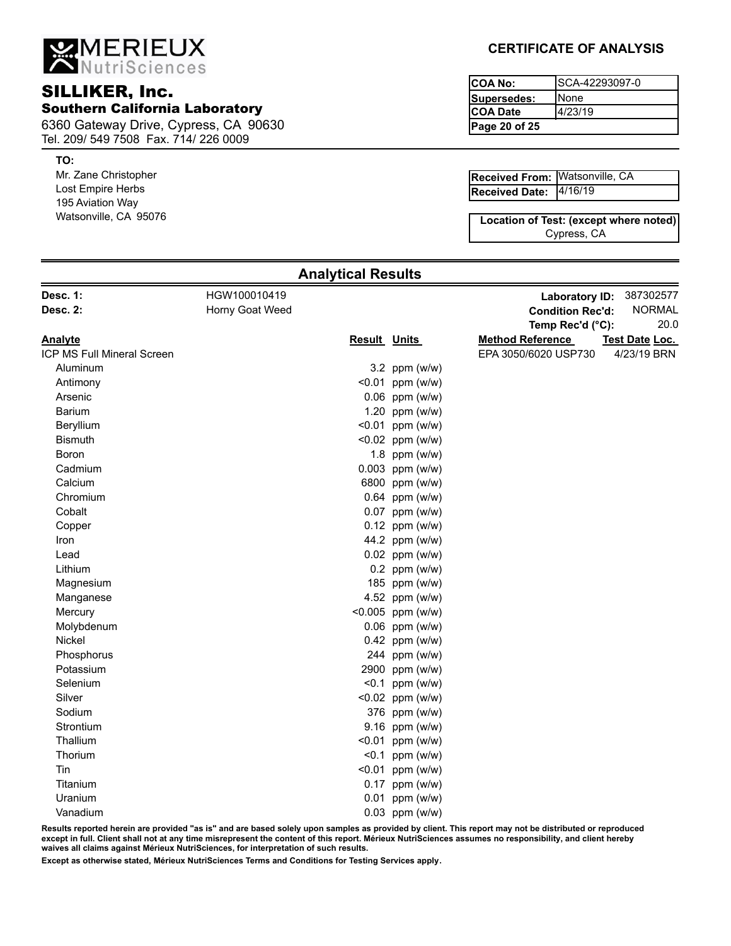MERIEUX

# **COA No:** COA No: **COA No:** COA No: Southern California Laboratory

6360 Gateway Drive, Cypress, CA 90630 Tel. 209/ 549 7508 Fax. 714/ 226 0009

### **TO:**

Mr. Zane Christopher Lost Empire Herbs 195 Aviation Way Watsonville, CA 95076

## **CERTIFICATE OF ANALYSIS**

**Page 20 of 25** SCA-42293097-0 None 4/23/19 **Supersedes: COA Date**

4/16/19 **Received From:** Watsonville, CA [120] **Received Date:**

Cypress, CA **Location of Test: (except where noted)**

| Horny Goat Weed<br><b>Condition Rec'd:</b><br>Temp Rec'd (°C):<br><b>Result Units</b><br><b>Method Reference</b><br>EPA 3050/6020 USP730<br>Aluminum<br>3.2 ppm $(w/w)$<br>$< 0.01$ ppm (w/w)<br>Antimony<br>0.06 ppm (w/w)<br>Arsenic<br><b>Barium</b><br>1.20 ppm $(w/w)$<br><0.01 ppm (w/w)<br>Beryllium<br><0.02 ppm (w/w)<br><b>Bismuth</b><br>1.8 ppm $(w/w)$<br>Boron<br>$0.003$ ppm (w/w)<br>Cadmium<br>6800 ppm (w/w)<br>Calcium<br>$0.64$ ppm (w/w)<br>Chromium<br>0.07 ppm (w/w)<br>Cobalt<br>$0.12$ ppm (w/w)<br>Copper<br>44.2 ppm (w/w)<br>Iron<br>$0.02$ ppm (w/w)<br>Lead<br>$0.2$ ppm (w/w)<br>Lithium<br>185 ppm (w/w)<br>Magnesium<br>4.52 ppm (w/w)<br>Manganese<br><0.005 ppm (w/w)<br>Mercury<br>Molybdenum<br>$0.06$ ppm (w/w)<br>0.42 ppm (w/w)<br>Nickel<br>244 ppm (w/w)<br>Phosphorus<br>2900 ppm (w/w)<br>Potassium<br>Selenium<br>$< 0.1$ ppm (w/w)<br><0.02 ppm (w/w)<br>Silver<br>376 ppm (w/w)<br>Sodium<br>Strontium<br>9.16 ppm (w/w)<br>Thallium<br>$< 0.01$ ppm (w/w)<br>Thorium<br>$< 0.1$ ppm (w/w)<br>Tin<br>$< 0.01$ ppm (w/w)<br>$0.17$ ppm (w/w)<br>Titanium<br>$0.01$ ppm (w/w)<br>Uranium<br>$0.03$ ppm (w/w)<br>Vanadium | <b>Desc. 1:</b>            | HGW100010419 |  | <b>Laboratory ID:</b> | 387302577      |
|-----------------------------------------------------------------------------------------------------------------------------------------------------------------------------------------------------------------------------------------------------------------------------------------------------------------------------------------------------------------------------------------------------------------------------------------------------------------------------------------------------------------------------------------------------------------------------------------------------------------------------------------------------------------------------------------------------------------------------------------------------------------------------------------------------------------------------------------------------------------------------------------------------------------------------------------------------------------------------------------------------------------------------------------------------------------------------------------------------------------------------------------------------------------------|----------------------------|--------------|--|-----------------------|----------------|
|                                                                                                                                                                                                                                                                                                                                                                                                                                                                                                                                                                                                                                                                                                                                                                                                                                                                                                                                                                                                                                                                                                                                                                       | <b>Desc. 2:</b>            |              |  |                       | <b>NORMAL</b>  |
|                                                                                                                                                                                                                                                                                                                                                                                                                                                                                                                                                                                                                                                                                                                                                                                                                                                                                                                                                                                                                                                                                                                                                                       |                            |              |  |                       | 20.0           |
|                                                                                                                                                                                                                                                                                                                                                                                                                                                                                                                                                                                                                                                                                                                                                                                                                                                                                                                                                                                                                                                                                                                                                                       | <u>Analyte</u>             |              |  |                       | Test Date Loc. |
|                                                                                                                                                                                                                                                                                                                                                                                                                                                                                                                                                                                                                                                                                                                                                                                                                                                                                                                                                                                                                                                                                                                                                                       | ICP MS Full Mineral Screen |              |  |                       | 4/23/19 BRN    |
|                                                                                                                                                                                                                                                                                                                                                                                                                                                                                                                                                                                                                                                                                                                                                                                                                                                                                                                                                                                                                                                                                                                                                                       |                            |              |  |                       |                |
|                                                                                                                                                                                                                                                                                                                                                                                                                                                                                                                                                                                                                                                                                                                                                                                                                                                                                                                                                                                                                                                                                                                                                                       |                            |              |  |                       |                |
|                                                                                                                                                                                                                                                                                                                                                                                                                                                                                                                                                                                                                                                                                                                                                                                                                                                                                                                                                                                                                                                                                                                                                                       |                            |              |  |                       |                |
|                                                                                                                                                                                                                                                                                                                                                                                                                                                                                                                                                                                                                                                                                                                                                                                                                                                                                                                                                                                                                                                                                                                                                                       |                            |              |  |                       |                |
|                                                                                                                                                                                                                                                                                                                                                                                                                                                                                                                                                                                                                                                                                                                                                                                                                                                                                                                                                                                                                                                                                                                                                                       |                            |              |  |                       |                |
|                                                                                                                                                                                                                                                                                                                                                                                                                                                                                                                                                                                                                                                                                                                                                                                                                                                                                                                                                                                                                                                                                                                                                                       |                            |              |  |                       |                |
|                                                                                                                                                                                                                                                                                                                                                                                                                                                                                                                                                                                                                                                                                                                                                                                                                                                                                                                                                                                                                                                                                                                                                                       |                            |              |  |                       |                |
|                                                                                                                                                                                                                                                                                                                                                                                                                                                                                                                                                                                                                                                                                                                                                                                                                                                                                                                                                                                                                                                                                                                                                                       |                            |              |  |                       |                |
|                                                                                                                                                                                                                                                                                                                                                                                                                                                                                                                                                                                                                                                                                                                                                                                                                                                                                                                                                                                                                                                                                                                                                                       |                            |              |  |                       |                |
|                                                                                                                                                                                                                                                                                                                                                                                                                                                                                                                                                                                                                                                                                                                                                                                                                                                                                                                                                                                                                                                                                                                                                                       |                            |              |  |                       |                |
|                                                                                                                                                                                                                                                                                                                                                                                                                                                                                                                                                                                                                                                                                                                                                                                                                                                                                                                                                                                                                                                                                                                                                                       |                            |              |  |                       |                |
|                                                                                                                                                                                                                                                                                                                                                                                                                                                                                                                                                                                                                                                                                                                                                                                                                                                                                                                                                                                                                                                                                                                                                                       |                            |              |  |                       |                |
|                                                                                                                                                                                                                                                                                                                                                                                                                                                                                                                                                                                                                                                                                                                                                                                                                                                                                                                                                                                                                                                                                                                                                                       |                            |              |  |                       |                |
|                                                                                                                                                                                                                                                                                                                                                                                                                                                                                                                                                                                                                                                                                                                                                                                                                                                                                                                                                                                                                                                                                                                                                                       |                            |              |  |                       |                |
|                                                                                                                                                                                                                                                                                                                                                                                                                                                                                                                                                                                                                                                                                                                                                                                                                                                                                                                                                                                                                                                                                                                                                                       |                            |              |  |                       |                |
|                                                                                                                                                                                                                                                                                                                                                                                                                                                                                                                                                                                                                                                                                                                                                                                                                                                                                                                                                                                                                                                                                                                                                                       |                            |              |  |                       |                |
|                                                                                                                                                                                                                                                                                                                                                                                                                                                                                                                                                                                                                                                                                                                                                                                                                                                                                                                                                                                                                                                                                                                                                                       |                            |              |  |                       |                |
|                                                                                                                                                                                                                                                                                                                                                                                                                                                                                                                                                                                                                                                                                                                                                                                                                                                                                                                                                                                                                                                                                                                                                                       |                            |              |  |                       |                |
|                                                                                                                                                                                                                                                                                                                                                                                                                                                                                                                                                                                                                                                                                                                                                                                                                                                                                                                                                                                                                                                                                                                                                                       |                            |              |  |                       |                |
|                                                                                                                                                                                                                                                                                                                                                                                                                                                                                                                                                                                                                                                                                                                                                                                                                                                                                                                                                                                                                                                                                                                                                                       |                            |              |  |                       |                |
|                                                                                                                                                                                                                                                                                                                                                                                                                                                                                                                                                                                                                                                                                                                                                                                                                                                                                                                                                                                                                                                                                                                                                                       |                            |              |  |                       |                |
|                                                                                                                                                                                                                                                                                                                                                                                                                                                                                                                                                                                                                                                                                                                                                                                                                                                                                                                                                                                                                                                                                                                                                                       |                            |              |  |                       |                |
|                                                                                                                                                                                                                                                                                                                                                                                                                                                                                                                                                                                                                                                                                                                                                                                                                                                                                                                                                                                                                                                                                                                                                                       |                            |              |  |                       |                |
|                                                                                                                                                                                                                                                                                                                                                                                                                                                                                                                                                                                                                                                                                                                                                                                                                                                                                                                                                                                                                                                                                                                                                                       |                            |              |  |                       |                |
|                                                                                                                                                                                                                                                                                                                                                                                                                                                                                                                                                                                                                                                                                                                                                                                                                                                                                                                                                                                                                                                                                                                                                                       |                            |              |  |                       |                |
|                                                                                                                                                                                                                                                                                                                                                                                                                                                                                                                                                                                                                                                                                                                                                                                                                                                                                                                                                                                                                                                                                                                                                                       |                            |              |  |                       |                |
|                                                                                                                                                                                                                                                                                                                                                                                                                                                                                                                                                                                                                                                                                                                                                                                                                                                                                                                                                                                                                                                                                                                                                                       |                            |              |  |                       |                |
|                                                                                                                                                                                                                                                                                                                                                                                                                                                                                                                                                                                                                                                                                                                                                                                                                                                                                                                                                                                                                                                                                                                                                                       |                            |              |  |                       |                |
|                                                                                                                                                                                                                                                                                                                                                                                                                                                                                                                                                                                                                                                                                                                                                                                                                                                                                                                                                                                                                                                                                                                                                                       |                            |              |  |                       |                |
|                                                                                                                                                                                                                                                                                                                                                                                                                                                                                                                                                                                                                                                                                                                                                                                                                                                                                                                                                                                                                                                                                                                                                                       |                            |              |  |                       |                |
|                                                                                                                                                                                                                                                                                                                                                                                                                                                                                                                                                                                                                                                                                                                                                                                                                                                                                                                                                                                                                                                                                                                                                                       |                            |              |  |                       |                |
|                                                                                                                                                                                                                                                                                                                                                                                                                                                                                                                                                                                                                                                                                                                                                                                                                                                                                                                                                                                                                                                                                                                                                                       |                            |              |  |                       |                |

**Analytical Results**

**Results reported herein are provided "as is" and are based solely upon samples as provided by client. This report may not be distributed or reproduced except in full. Client shall not at any time misrepresent the content of this report. Mérieux NutriSciences assumes no responsibility, and client hereby waives all claims against Mérieux NutriSciences, for interpretation of such results.**

**Except as otherwise stated, Mérieux NutriSciences Terms and Conditions for Testing Services apply.**